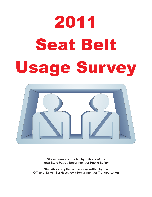# 2011 Seat Belt Seat Belti Belti Belti Belti Belti Belti Belti Belti Belti Belti Belti Belti Belti Belti Belti Belti Belti Be<br>Seat Belti Belti Belti Belti Belti Belti Belti Belti Belti Belti Belti Belti Belti Belti Belti Belti Belti Bel



**Site surveys conducted by officers of the Iowa State Patrol, Department of Public Safety**

**Statistics compiled and survey written by the Office of Driver Services, Iowa Department of Transportation**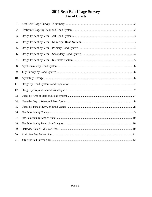# 2011 Seat Belt Usage Survey List of Charts

| 1.  |  |
|-----|--|
| 2.  |  |
| 3.  |  |
| 4.  |  |
| 5.  |  |
| 6.  |  |
| 7.  |  |
| 8.  |  |
| 9.  |  |
| 10. |  |
| 11. |  |
| 12. |  |
| 13. |  |
| 14. |  |
| 15. |  |
| 16. |  |
| 17. |  |
| 18. |  |
| 19. |  |
| 20. |  |
| 21. |  |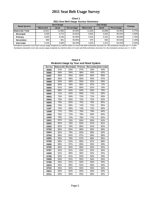## **2010 Sat Belt Usage Survey 2011 Seat Belt Usage Survey**

**Chart 1 2011 Seat Belt Usage Survey--Summary**

| <b>Road System</b>     | April Usage     |             |            |                 | Change      |            |          |
|------------------------|-----------------|-------------|------------|-----------------|-------------|------------|----------|
|                        | <b>Observed</b> | <b>Used</b> | Percentage | <b>Observed</b> | <b>Used</b> | Percentage |          |
| <b>Statewide Total</b> | 12.811          | 11.830      | 92.69%     | 11.563          | 10.698      | 93.45%     | 0.77%    |
| <b>Municipal</b>       | 5.200           | 4.774       | 91.81%     | 4.810           | 4.344       | 90.31%     | $-1.50%$ |
| Primary                | 4.620           | 4.246       | 91.90%     | 4.424           | 4.145       | 93.69%     | 1.79%    |
| Secondary              | 858             | 801         | 93.36%     | 875             | 836         | 95.54%     | 2.19%    |
| <b>Interstate</b>      | 2,133           | 2.009       | 94.19%     | 1,454           | 1.373       | 94.43%     | 0.24%    |

Estimated statewide total July survey usage weighted by vehicles miles of travel and 95% confidence intervals for the estimated variance are +/- 0.13% **Estimated statewide total April survey usage weighted by vehicles miles of travel and 95% confidence intervals for the estimated variance are +/- 0.14%** 

| <b>Chart 2</b>                                 |
|------------------------------------------------|
| <b>Restraint Usage by Year and Road System</b> |

| Survey | <b>Statewide</b> | <b>Municipal</b> | Primary | Secondary Interstate |     |
|--------|------------------|------------------|---------|----------------------|-----|
| 06/86  | 27%              | 20%              | 27%     | 24%                  | 43% |
| 09/86  | 46%              | 34%              | 48%     | 42%                  | 62% |
| 04/87  | 63%              | 54%              | 65%     | 64%                  | 69% |
| 09/87  | 56%              | 48%              | 56%     | 55%                  | 67% |
| 09/88  | 55%              | 46%              | 55%     | 52%                  | 69% |
| 09/89  | 59%              | 49%              | 56%     | 61%                  | 72% |
| 09/90  | 61%              | 49%              | 60%     | 61%                  | 76% |
| 09/91  | 68%              | 64%              | 64%     | 64%                  | 79% |
| 09/92  | 71%              | 62%              | 69%     | 71%                  | 83% |
| 09/93  | 73%              | 59%              | 73%     | 71%                  | 80% |
| 09/94  | 73%              | 63%              | 72%     | 72%                  | 82% |
| 09/95  | 75%              | 65%              | 75%     | 76%                  | 85% |
| 09/96  | 75%              | 69%              | 74%     | 71%                  | 85% |
| 11/97  | 75%              | 69%              | 74%     | 71%                  | 85% |
| 10/98  | 77%              | 70%              | 76%     | 79%                  | 84% |
| 10/99  | 78%              | 72%              | 78%     | 80%                  | 84% |
| 10/00  | 78%              | 73%              | 79%     | 77%                  | 82% |
| 10/01  | 81%              | 76%              | 83%     | 83%                  | 81% |
| 09/02  | 82%              | 79%              | 83%     | 87%                  | 81% |
| 03/03  | 82%              | 78%              | 86%     | 81%                  | 82% |
| 07/03  | 86%              | 82%              | 88%     | 83%                  | 90% |
| 04/04  | 84%              | 79%              | 84%     | 88%                  | 84% |
| 07/04  | 86%              | 84%              | 87%     | 86%                  | 88% |
| 04/05  | 85%              | 78%              | 87%     | 89%                  | 85% |
| 07/05  | 86%              | 81%              | 86%     | 87%                  | 88% |
| 04/06  | 89%              | 87%              | 89%     | 90%                  | 90% |
| 07/06  | 89%              | 84%              | 89%     | 90%                  | 92% |
| 07/07  | 92%              | 91%              | 92%     | 92%                  | 94% |
| 04/08  | 91%              | 89%              | 90%     | 92%                  | 92% |
| 07/08  | 93%              | 91%              | 93%     | 95%                  | 93% |
| 04/09  | 93%              | 91%              | 92%     | 94%                  | 93% |
| 07/09  | 93%              | 91%              | 93%     | 94%                  | 94% |
| 04/10  | 92%              | 89%              | 91%     | 95%                  | 94% |
| 07/10  | 93%              | 92%              | 93%     | 93%                  | 94% |
| 04/11  | 93%              | 92%              | 92%     | 93%                  | 94% |
| 07/11  | 93%              | 90%              | 94%     | 96%                  | 94% |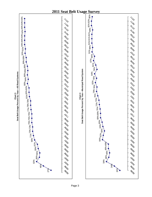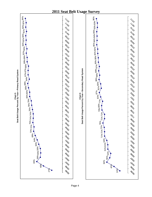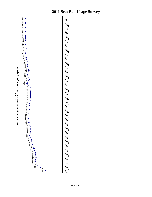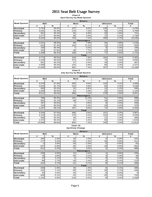**Chart 8 April Survey by Road System**

|                    | <b>Drivers</b>    |             |     |              |     |                |        |  |  |  |
|--------------------|-------------------|-------------|-----|--------------|-----|----------------|--------|--|--|--|
| <b>Road System</b> |                   | <b>Belt</b> |     | <b>None</b>  |     | <b>Unknown</b> |        |  |  |  |
|                    | #                 | %           | #   | %            | #   | %              | #      |  |  |  |
| <b>Municipal</b>   | 3,763             | 89.0%       | 337 | 8.0%         | 130 | 3.1%           | 4,230  |  |  |  |
| Primary            | 3,431             | 91.3%       | 270 | 7.2%         | 58  | 1.5%           | 3,759  |  |  |  |
| Secondary          | 651               | 90.3%       | 50  | 6.9%         | 20  | 2.8%           | 721    |  |  |  |
| Interstate         | 1,577             | 90.9%       | 86  | 5.0%         | 72  | 4.1%           | 1,735  |  |  |  |
| Total              | 9,422             | 90.2%       | 743 | 7.1%         | 280 | 2.7%           | 10,445 |  |  |  |
|                    | <b>Passengers</b> |             |     |              |     |                |        |  |  |  |
| <b>Municipal</b>   | 1,011             | 89.3%       | 89  | 7.9%         | 32  | 2.8%           | 1,132  |  |  |  |
| Primary            | 815               | 87.4%       | 104 | 11.1%        | 14  | 1.5%           | 933    |  |  |  |
| Secondary          | 150               | 90.4%       |     | 4.2%         | 9   | 5.4%           | 166    |  |  |  |
| Interstate         | 432               | 87.8%       | 38  | 7.7%         | 22  | 4.5%           | 492    |  |  |  |
| Total              | 2,408             | 88.4%       | 238 | 8.7%         | 77  | 2.8%           | 2,723  |  |  |  |
|                    |                   |             |     | <b>Total</b> |     |                |        |  |  |  |
| <b>Municipal</b>   | 4,774             | 89.0%       | 426 | 7.9%         | 162 | 3.0%           | 5,362  |  |  |  |
| Primary            | 4,246             | 90.5%       | 374 | 8.0%         | 72  | 1.5%           | 4,692  |  |  |  |
| Secondary          | 801               | 90.3%       | 57  | 6.4%         | 29  | 3.3%           | 887    |  |  |  |
| Interstate         | 2,009             | 90.2%       | 124 | 5.6%         | 94  | 4.2%           | 2,227  |  |  |  |
| Total              | 11,830            | 89.8%       | 981 | 7.4%         | 357 | 2.7%           | 13,168 |  |  |  |

#### **Chart 9**

**July Survey by Road System**

|                    | <b>Drivers</b>    |               |     |              |                 |                |        |  |  |  |
|--------------------|-------------------|---------------|-----|--------------|-----------------|----------------|--------|--|--|--|
| <b>Road System</b> | <b>Belt</b>       |               |     | <b>None</b>  |                 | <b>Unknown</b> |        |  |  |  |
|                    | #                 | $\frac{9}{6}$ | #   | %            | #               | %              | #      |  |  |  |
| <b>Municipal</b>   | 3,578             | 87.9%         | 365 | 9.0%         | 126             | 3.1%           | 4,069  |  |  |  |
| Primary            | 3,254             | 91.7%         | 210 | 5.9%         | 84              | 2.4%           | 3,548  |  |  |  |
| Secondary          | 649               | 93.2%         | 32  | 4.6%         | 15 <sup>1</sup> | 2.2%           | 696    |  |  |  |
| <b>Interstate</b>  | 1,030             | 90.0%         | 61  | 5.3%         | 53              | 4.6%           | 1,144  |  |  |  |
| Total              | 8,511             | 90.0%         | 668 | 7.1%         | 278             | 2.9%           | 9,457  |  |  |  |
|                    | <b>Passengers</b> |               |     |              |                 |                |        |  |  |  |
| <b>Municipal</b>   | 766               | 85.3%         | 101 | 11.2%        | 31              | 3.5%           | 898    |  |  |  |
| Primary            | 891               | 91.1%         | 69  | 7.1%         | 18              | 1.8%           | 978    |  |  |  |
| Secondary          | 187               | 93.5%         |     | 3.5%         | 6               | 3.0%           | 200    |  |  |  |
| <b>Interstate</b>  | 343               | 90.5%         | 20  | 5.3%         | 16              | 4.2%           | 379    |  |  |  |
| Total              | 2,187             | 89.1%         | 197 | 8.0%         | 71              | 2.9%           | 2,455  |  |  |  |
|                    |                   |               |     | <b>Total</b> |                 |                |        |  |  |  |
| <b>Municipal</b>   | 4,344             | 87.5%         | 466 | 9.4%         | 157             | 3.2%           | 4,967  |  |  |  |
| Primary            | 4,145             | 91.6%         | 279 | 6.2%         | 102             | 2.3%           | 4,526  |  |  |  |
| Secondary          | 836               | 93.3%         | 39  | 4.4%         | 21              | 2.3%           | 896    |  |  |  |
| <b>Interstate</b>  | 1,373             | 90.2%         | 81  | 5.3%         | 69              | 4.5%           | 1,523  |  |  |  |
| Total              | 10,698            | 89.8%         | 865 | 7.3%         | 349             | 2.9%           | 11,912 |  |  |  |

#### **Chart 10 April/July Change**

|                    | <b>Drivers</b> |         |             |              |                |         |          |  |  |  |
|--------------------|----------------|---------|-------------|--------------|----------------|---------|----------|--|--|--|
| <b>Road System</b> | <b>Belt</b>    |         | <b>None</b> |              | <b>Unknown</b> |         | Total    |  |  |  |
|                    | #              | %       | #           | %            | #              | %       | #        |  |  |  |
| <b>Municipal</b>   | $-185$         | $-1.0%$ | 28          | 1.0%         | $-4$           | 0.0%    | $-161$   |  |  |  |
| Primary            | $-177$         | 0.4%    | -60         | $-1.3%$      | 26             | 0.8%    | $-211$   |  |  |  |
| <b>Secondary</b>   | $-2$           | 3.0%    | $-18$       | $-2.3%$      | $-5$           | $-0.6%$ | $-25$    |  |  |  |
| <b>Interstate</b>  | $-547$         | $-0.9%$ | $-25$       | 0.4%         | $-19$          | 0.5%    | $-591$   |  |  |  |
| Total              | $-911$         | $-0.2%$ | $-75$       | 0.0%         | $-2$           | 0.3%    | $-988$   |  |  |  |
|                    |                |         |             |              |                |         |          |  |  |  |
| <b>Municipal</b>   | $-245$         | $-4.0%$ | 12          | 3.4%         | $-1$           | 0.6%    | $-234$   |  |  |  |
| Primary            | 76             | 3.8%    | $-35$       | $-4.1%$      |                | 0.3%    | 45       |  |  |  |
| Secondary          | 37             | 3.1%    | $\Omega$    | $-0.7%$      | $-3$           | $-2.4%$ | 34       |  |  |  |
| Interstate         | $-89$          | 2.7%    | $-18$       | $-2.4%$      | $-6$           | $-0.2%$ | $-113$   |  |  |  |
| Total              | $-221$         | 0.7%    | $-41$       | $-0.7%$      | $-6$           | 0.1%    | $-268$   |  |  |  |
|                    |                |         |             | <b>Total</b> |                |         |          |  |  |  |
| <b>Municipal</b>   | $-430$         | $-1.6%$ | 40          | 1.4%         | $-5$           | 0.1%    | $-395$   |  |  |  |
| Primary            | $-101$         | 1.1%    | $-95$       | $-1.8%$      | 30             | 0.7%    | $-166$   |  |  |  |
| Secondary          | 35             | 3.0%    | $-18$       | $-2.1%$      | -8             | $-0.9%$ | 9        |  |  |  |
| Interstate         | $-636$         | $-0.1%$ | $-43$       | $-0.2%$      | $-25$          | 0.3%    | $-704$   |  |  |  |
| Total              | $-1,132$       | 0.0%    | $-116$      | $-0.2%$      | -8             | 0.2%    | $-1,256$ |  |  |  |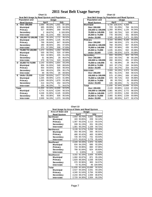|       | Chart 11                                      |              |        |        |         |  |  |  |  |
|-------|-----------------------------------------------|--------------|--------|--------|---------|--|--|--|--|
|       | Seat Belt Usage by Road System and Population |              |        |        |         |  |  |  |  |
|       | <b>Population and</b>                         | <b>Usage</b> |        |        |         |  |  |  |  |
|       | <b>Road System</b>                            |              | April  | July   |         |  |  |  |  |
| A     | Over 200,000                                  | 2,065        | 90.10% | 1,501  | 87.32%  |  |  |  |  |
|       | <b>Municipal</b>                              | 685          | 89.90% | 679    | 84.35%  |  |  |  |  |
|       | Primary                                       | 517          | 88.68% | 358    | 89.05%  |  |  |  |  |
|       | Secondary                                     | 2            | 66.67% | 6      | 100.00% |  |  |  |  |
|       | <b>Interstate</b>                             | 861          | 91.21% | 458    | 90.51%  |  |  |  |  |
| в     | 150,000 TO 199,999                            | 2,981        | 96.16% | 2,772  | 96.02%  |  |  |  |  |
|       | <b>Municipal</b>                              | 1,358        | 95.90% | 1,126  | 95.34%  |  |  |  |  |
|       | Primary                                       | 768          | 95.64% | 847    | 95.60%  |  |  |  |  |
|       | Secondary                                     | 280          | 96.55% | 291    | 97.00%  |  |  |  |  |
|       | <b>Interstate</b>                             | 575          | 97.29% | 508    | 97.69%  |  |  |  |  |
| C     | 75,000 TO 149,999                             | 1.472        | 93.05% | 1.294  | 90.93%  |  |  |  |  |
|       | <b>Municipal</b>                              | 530          | 90.75% | 520    | 87.99%  |  |  |  |  |
|       | Primary                                       | 502          | 92.96% | 435    | 91.00%  |  |  |  |  |
|       | Secondarv                                     | 61           | 98.39% | 29     | 96.67%  |  |  |  |  |
|       | <b>Interstate</b>                             | 379          | 95.71% | 310    | 95.68%  |  |  |  |  |
| D     | 25,000 TO 74,999                              | 2,143        | 92.65% | 1,654  | 93.24%  |  |  |  |  |
|       | <b>Municipal</b>                              | 856          | 91.55% | 546    | 88.64%  |  |  |  |  |
|       | Primary                                       | 954          | 94.55% | 826    | 96.05%  |  |  |  |  |
|       | Secondary                                     | 244          | 88.41% | 256    | 95.17%  |  |  |  |  |
|       | <b>Interstate</b>                             | 89           | 95.70% | 26     | 89.66%  |  |  |  |  |
| E     | <b>Under 25,000</b>                           | 3,169        | 89.93% | 3.477  | 92.47%  |  |  |  |  |
|       | <b>Municipal</b>                              | 1,345        | 89.49% | 1,473  | 91.09%  |  |  |  |  |
|       | Primary                                       | 1,505        | 89.32% | 1,679  | 93.38%  |  |  |  |  |
|       | Secondary                                     | 214          | 94.27% | 254    | 94.07%  |  |  |  |  |
|       | <b>Interstate</b>                             | 105          | 96.33% | 71     | 94.67%  |  |  |  |  |
| Total |                                               | 11.830       | 92.34% | 10.698 | 92.52%  |  |  |  |  |
|       | Municipal                                     | 4.774        | 91.81% | 4.344  | 90.31%  |  |  |  |  |
|       | Primary                                       | 4,246        | 91.90% | 4,145  | 93.69%  |  |  |  |  |
|       | Secondary                                     | 801          | 93.36% | 836    | 95.54%  |  |  |  |  |
|       | <b>Interstate</b>                             | 2,009        | 94.19% | 1,373  | 94.43%  |  |  |  |  |

| 0                                             | Chart 12 |         |        |        |  |  |  |  |
|-----------------------------------------------|----------|---------|--------|--------|--|--|--|--|
| Seat Belt Usage by Population and Road System |          |         |        |        |  |  |  |  |
| <b>Population and</b>                         |          | Usage   |        |        |  |  |  |  |
| <b>Road System</b>                            |          | April   |        | July   |  |  |  |  |
| <b>Municipal</b>                              | 4.734    | 129.31% | 4.334  |        |  |  |  |  |
| Over 200,000                                  | 723      | 91.29%  | 784    | 84.21% |  |  |  |  |
| 150,000 to 199,999                            | 1,358    | 95.90%  | 1,126  | 95.34% |  |  |  |  |
| 75,000 to 149,999                             | 530      | 90.75%  | 520    | 87.99% |  |  |  |  |
| 25,000 to 74,999                              | 778      | 89.53%  | 431    | 88.50% |  |  |  |  |
| <b>Under 25,000</b>                           | 1,345    | 89.49%  | 1,473  | 91.09% |  |  |  |  |
| Primary                                       | 4.154    | 92.09%  | 4,168  | 94.02% |  |  |  |  |
| Over 200,000                                  | 344      | 89.35%  | 275    | 91.67% |  |  |  |  |
| 150,000 to 199,999                            | 768      | 95.64%  | 847    | 95.60% |  |  |  |  |
| 75,000 to 149,999                             | 502      | 92.96%  | 435    | 91.00% |  |  |  |  |
| 25,000 to 74,999                              | 1,035    | 94.26%  | 932    | 95.98% |  |  |  |  |
| <b>Under 25,000</b>                           | 1,505    | 89.32%  | 1,679  | 93.38% |  |  |  |  |
| Secondary                                     | 933      | 93.02%  | 823    | 94.71% |  |  |  |  |
| Over 200,000                                  | 215      | 90.72%  | 99     | 89.19% |  |  |  |  |
| 150,000 to 199,999                            | 280      | 96.55%  | 291    | 97.00% |  |  |  |  |
| 75,000 to 149,999                             | 61       | 98.39%  | 29     | 96.67% |  |  |  |  |
| 25,000 to 74,999                              | 163      | 87.17%  | 150    | 94.94% |  |  |  |  |
| <b>Under 25,000</b>                           | 214      | 94.27%  | 254    | 94.07% |  |  |  |  |
| <b>Interstate</b>                             | 2,009    | 94.19%  | 1,373  | 94.43% |  |  |  |  |
| Over 200,000                                  | 861      | 91.21%  | 458    | 90.51% |  |  |  |  |
| 150,000 to 199,999                            | 575      | 97.29%  | 508    | 97.69% |  |  |  |  |
| 75,000 to 149,999                             | 379      | 95.71%  | 310    | 95.68% |  |  |  |  |
| 25,000 to 74,999                              | 89       | 95.70%  | 26     | 89.66% |  |  |  |  |
| <b>Under 25,000</b>                           | 105      | 96.33%  | 71     | 94.67% |  |  |  |  |
| Total                                         | 11,830   | 92.34%  | 10,698 | 92.52% |  |  |  |  |
| Over 200,000                                  | 2,143    | 90.88%  | 1,616  | 87.45% |  |  |  |  |
| 150,000 to 199,999                            | 2,981    | 96.16%  | 2,772  | 96.02% |  |  |  |  |
| 75,000 to 149,999                             | 1,472    | 93.05%  | 1,294  | 90.93% |  |  |  |  |
| 25,000 to 74,999                              | 2,065    | 91.90%  | 1,539  | 93.56% |  |  |  |  |
| <b>Under 25,000</b>                           | 3,169    | 89.93%  | 3,477  | 92.47% |  |  |  |  |

| Seat Usage by Area of State and Road System |        |              |              |          |  |  |  |
|---------------------------------------------|--------|--------------|--------------|----------|--|--|--|
| Area of State and                           |        |              | <b>Usage</b> |          |  |  |  |
| <b>Road System</b>                          |        | April        | July         |          |  |  |  |
| <b>Northeast</b>                            |        | 2.910 93.75% | 2.631        | 93.66%   |  |  |  |
| <b>Municipal</b>                            |        | 183 93.85%   | 209          | 94.14%   |  |  |  |
| Primary                                     | 1.307  | 93.22%       | 1.112        | 93.21%   |  |  |  |
| Secondary                                   |        | 339 91.13%   | 201          | 90.13%   |  |  |  |
| <b>Interstate</b>                           |        | 1.081 95.24% | 1,109        | 94.71%   |  |  |  |
| <b>Northwest</b>                            |        | 3.139 91.57% | 3,258        | 92.16%   |  |  |  |
| <b>Municipal</b>                            |        | 350 96.15%   | 265          | 96.01%   |  |  |  |
| Primary                                     |        | 488 92.42%   | 483          | 92.88%   |  |  |  |
| Secondary                                   | 726    | 84.71%       | 731          | 83.54%   |  |  |  |
| <b>Interstate</b>                           |        | 1,575 93.81% | 1,779        | 95.44%   |  |  |  |
| <b>Southeast</b>                            |        | 2,449 93.33% | 1,970        | 91.50%   |  |  |  |
| <b>Municipal</b>                            | 934    | 94.15%       | 686          | 92.20%   |  |  |  |
| Primary                                     | 716    | 93.96%       | 660          | 97.06%   |  |  |  |
| Secondary                                   | 799    | 91.84%       | 624          | 85.60%   |  |  |  |
| <b>Interstate</b>                           | 0      | $0.00\%$     | 0            | $0.00\%$ |  |  |  |
| <b>Southwest</b>                            |        | 3.332 91.16% | 2,839        | 92.60%   |  |  |  |
| Municipal                                   | 1,060  | 93.97%       | 871          | 95.19%   |  |  |  |
| Primary                                     | 1.829  | 89.26%       | 1.539        | 90.53%   |  |  |  |
| Secondary                                   | 370    | 92.96%       | 383          | 94.57%   |  |  |  |
| <b>Interstate</b>                           |        | 73 91.25%    | 46           | 100.00%  |  |  |  |
| Total                                       | 11.830 | 92.34%       | 10,698       | 92.52%   |  |  |  |
| <b>Municipal</b>                            |        | 2,527 94.33% | 2,031        | 94.16%   |  |  |  |
| Primary                                     |        | 4.340 91.54% | 3,794        | 92.69%   |  |  |  |
| Secondary                                   |        | 2,234 89.47% | 1,939        | 86.87%   |  |  |  |
| <b>Interstate</b>                           |        | 2,729 94.30% | 2,934        | 95.23%   |  |  |  |

# **Chart 13**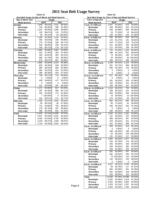| Seat Belt Usage by Day of Week and Road System |        |         |        |         |  |  |  |
|------------------------------------------------|--------|---------|--------|---------|--|--|--|
| Day of Week and                                | Usage  |         |        |         |  |  |  |
| <b>Road System</b>                             |        | April   | July   |         |  |  |  |
| <b>Sunday</b>                                  | 1.848  | 89.02%  | 1.531  | 88.50%  |  |  |  |
| Municipal                                      | 218    | 85.49%  | 296    | 91.36%  |  |  |  |
| Primary                                        | 1,427  | 89.58%  | 1,095  | 89.68%  |  |  |  |
| Secondary                                      | 155    | 88.07%  | 110    | 70.97%  |  |  |  |
| Interstate                                     | 48     | 92.31%  | 30     | 100.00% |  |  |  |
| Monday                                         | 1.268  | 91.09%  | 1,144  | 90.94%  |  |  |  |
| Municipal                                      | 394    | 95.63%  | 336    | 96.00%  |  |  |  |
| Primary                                        | 176    | 97.24%  | 180    | 96.77%  |  |  |  |
| Secondary                                      | 533    | 86.95%  | 449    | 84.24%  |  |  |  |
| <b>Interstate</b>                              | 165    | 88.71%  | 179    | 94.71%  |  |  |  |
| <b>Tuesday</b>                                 | 2,484  | 95.06%  | 2,362  | 93.29%  |  |  |  |
| Municipal                                      | 625    | 97.35%  | 450    | 97.40%  |  |  |  |
| Primary                                        | 293    | 93.91%  | 265    | 93.31%  |  |  |  |
| Secondary                                      | 696    | 91.70%  | 760    | 88.58%  |  |  |  |
| <b>Interstate</b>                              | 870    | 96.67%  | 887    | 95.58%  |  |  |  |
| Wednesday                                      | 2,862  | 92.80%  | 2,215  | 93.38%  |  |  |  |
| <b>Municipal</b>                               | 835    | 94.46%  | 548    | 93.20%  |  |  |  |
| Primary                                        | 968    | 89.55%  | 909    | 92.38%  |  |  |  |
| Secondary                                      | 564    | 93.22%  | 314    | 91.55%  |  |  |  |
| <b>Interstate</b>                              | 495    | 96.30%  | 444    | 97.16%  |  |  |  |
| Thursday                                       | 759    | 94.17%  | 714    | 93.82%  |  |  |  |
| <b>Municipal</b>                               | 0      | 0.00%   | 0      | 0.00%   |  |  |  |
| Primary                                        | 438    | 94.60%  | 417    | 92.87%  |  |  |  |
| Secondary                                      | 0      | 0.00%   | 0      | 0.00%   |  |  |  |
| <b>Interstate</b>                              | 321    | 93.59%  | 297    | 95.19%  |  |  |  |
| Friday                                         | 1,171  | 92.86%  | 817    | 92.42%  |  |  |  |
| <b>Municipal</b>                               | 397    | 94.30%  | 365    | 92.17%  |  |  |  |
| Primary                                        | 325    | 94.20%  | 172    | 91.49%  |  |  |  |
| Secondary                                      | 7      | 100.00% | 9      | 81.82%  |  |  |  |
| <b>Interstate</b>                              | 442    | 90.57%  | 271    | 93.77%  |  |  |  |
| Saturday                                       | 1.438  | 91.07%  | 1,915  | 94.52%  |  |  |  |
| Municipal                                      | 58     | 89.23%  | 36     | 97.30%  |  |  |  |
| Primary                                        | 713    | 93.08%  | 756    | 96.80%  |  |  |  |
| Secondary                                      | 279    | 82.79%  | 297    | 89.46%  |  |  |  |
| <b>Interstate</b>                              | 388    | 94.40%  | 826    | 94.29%  |  |  |  |
| Total                                          | 11,830 | 92.34%  | 10,698 | 92.52%  |  |  |  |
| <b>Municipal</b>                               | 2,527  | 94.33%  | 2,031  | 94.16%  |  |  |  |
| Primary                                        | 4,340  | 91.54%  | 3,794  | 92.69%  |  |  |  |
| Secondary                                      | 2,234  | 89.47%  | 1,939  | 86.87%  |  |  |  |
| <b>Interstate</b>                              | 2,729  | 94.30%  | 2,934  | 95.23%  |  |  |  |

**Chart 14**

| o<br><b>Chart 15</b>                           |              |                        |            |                  |  |  |  |
|------------------------------------------------|--------------|------------------------|------------|------------------|--|--|--|
| Seat Belt Usage by Time of Day and Road System |              |                        |            |                  |  |  |  |
| Time of Day and                                |              | Usage                  |            |                  |  |  |  |
| <b>Road System</b>                             |              | <u>April</u><br>91.84% | 975        | July<br>93.84%   |  |  |  |
| 7 a.m. to 7:59 a.m.<br><b>Municipal</b>        | 1,047<br>248 | 90.84%                 | 222        | 92.12%           |  |  |  |
| Primary                                        | 649          | 92.98%                 | 636        | 96.36%           |  |  |  |
| Secondary                                      | 24           | 77.42%                 | 13         | 68.42%           |  |  |  |
| <b>Interstate</b>                              | 126          | 91.30%                 | 104        | 87.39%           |  |  |  |
| 8 a.m. to 8:59 a.m.                            | 592          | 85.43%                 | 618        | 89.57%           |  |  |  |
| <b>Municipal</b>                               | 115          | 91.27%                 | 131        | 95.62%           |  |  |  |
| Primary                                        | 244          | 77.22%                 | 216        | 79.12%           |  |  |  |
| Secondary                                      | 121          | 95.28%                 | 162        | 98.18%           |  |  |  |
| <b>Interstate</b>                              | 112          | 90.32%                 | 109        | 94.78%           |  |  |  |
| 9 a.m. to 9:59 a.m.                            | 752          | 91.82%                 | 1,126      | 88.94%           |  |  |  |
| Municipal                                      | 288          | 91.14%                 | 651        | 88.45%           |  |  |  |
| Primary                                        | 79           | 96.34%                 | 140        | 97.22%           |  |  |  |
| Secondary                                      | 49           | 98.00%                 | 36         | 100.00%          |  |  |  |
| <b>Interstate</b>                              | 336          | 90.57%                 | 299        | 85.43%           |  |  |  |
| 10 a.m. to 10:59 a.m.                          | 1,166        | 94.41%                 | 1,122      | 96.56%           |  |  |  |
| <b>Municipal</b>                               | 501          | 94.71%                 | 398        | 96.84%           |  |  |  |
| Primary                                        | 665          | 94.19%                 | 724        | 96.40%           |  |  |  |
| Secondary<br><b>Interstate</b>                 | 0            | $0.00\%$               | 0          | $0.00\%$         |  |  |  |
|                                                | 0<br>627     | $0.00\%$<br>88.19%     | 0<br>467   | 0.00%<br>89.98%  |  |  |  |
| 11 a.m. to 11:59 a.m.<br><b>Municipal</b>      | 0            | $0.00\%$               | 0          | 0.00%            |  |  |  |
| Primary                                        | 301          | 92.62%                 | 229        | 97.86%           |  |  |  |
| Secondary                                      | 142          | 78.45%                 | 131        | 82.91%           |  |  |  |
| <b>Interstate</b>                              | 184          | 89.76%                 | 107        | 84.25%           |  |  |  |
| 12 p.m. to 12:59 p.m.                          | 1,124        | 93.67%                 | 734        | 93.98%           |  |  |  |
| <b>Municipal</b>                               | 200          | 96.15%                 | 221        | 94.44%           |  |  |  |
| Primary                                        | 693          | 93.90%                 | 404        | 94.84%           |  |  |  |
| Secondary                                      | 18           | 90.00%                 | 16         | 100.00%          |  |  |  |
| <b>Interstate</b>                              | 213          | 91.03%                 | 93         | 88.57%           |  |  |  |
| 1 p.m. to 1:59 p.m                             | 864          | 90.57%                 | 802        | 86.42%           |  |  |  |
| <b>Municipal</b>                               | 95           | 71.43%                 | 42         | 56.00%           |  |  |  |
| Primary                                        | 483          | 92.53%                 | 552        | 87.34%           |  |  |  |
| Secondary                                      | 0            | $0.00\%$               | 0          | 0.00%            |  |  |  |
| Interstate                                     | 286          | 95.65%                 | 208        | 94.12%           |  |  |  |
| 2 p.m. to 2:59 p.m                             | 1,500<br>121 | 91.52%<br>94.53%       | 1,281      | 93.85%<br>93.82% |  |  |  |
| <b>Municipal</b><br>Primary                    | 688          | 89.82%                 | 167<br>467 | 92.84%           |  |  |  |
| Secondary                                      | 370          | 93.91%                 | 251        | 97.67%           |  |  |  |
| <b>Interstate</b>                              | 321          | 91.45%                 | 396        | 92.74%           |  |  |  |
| 3 p.m. to 3:59 p.m                             | 369          | 91.56%                 | 419        | 95.23%           |  |  |  |
| <b>Municipal</b>                               | 0            | $0.00\%$               | 0          | $0.00\%$         |  |  |  |
| Primary                                        | 185          | 86.45%                 | 198        | 92.52%           |  |  |  |
| Secondary                                      | 53           | 98.15%                 | 104        | 100.00%          |  |  |  |
| Interstate                                     | 131          | 97.04%                 | 117        | 95.90%           |  |  |  |
| 4 p.m. to 4:59 p.m                             | 1,381        | 93.63%                 | 1,077      | 93.73%           |  |  |  |
| <b>Municipal</b>                               | 244          | 92.78%                 | 176        | 95.14%           |  |  |  |
| Primary                                        | 335          | 93.06%                 | 326        | 93.95%           |  |  |  |
| Secondary                                      | 459          | 95.82%                 | 382        | 95.50%           |  |  |  |
| Interstate                                     | 343          | 91.96%                 | 193        | 88.94%           |  |  |  |
| 5 p.m. to 5:59 p.m<br><b>Municipal</b>         | 581<br>381   | 95.09%<br>93.61%       | 547<br>293 | 94.64%<br>92.72% |  |  |  |
| Primary                                        | 74           | 100.00%                | 110        | 94.83%           |  |  |  |
| Secondary                                      | 126          | 96.92%                 | 144        | 98.63%           |  |  |  |
| Interstate                                     | 0            | $0.00\%$               | 0          | $0.00\%$         |  |  |  |
| 6 p.m. to 6:59 p.m.                            | 1,827        | 94.61%                 | 1,530      | 92.95%           |  |  |  |
| <b>Municipal</b>                               | 69           | 90.79%                 | 117        | 87.31%           |  |  |  |
| Primary                                        | 945          | 94.59%                 | 941        | 94.29%           |  |  |  |
| Secondary                                      | 561          | 93.66%                 | 318        | 90.08%           |  |  |  |
| <b>Interstate</b>                              | 252          | 98.05%                 | 154        | 95.65%           |  |  |  |
| Total                                          | 11,830       | 92.34%                 | 10,698     | 92.52%           |  |  |  |
| <b>Municipal</b>                               | 2,262        | 91.99%                 | 2,418      | 91.35%           |  |  |  |
| Primary                                        | 5,341        | 92.09%                 | 4,943      | 93.30%           |  |  |  |
| Secondary                                      | 1,923        | 93.12%                 | 1,557      | 94.14%           |  |  |  |
| Interstate                                     | 2,304        | 92.64%                 | 1,780      | 90.63%           |  |  |  |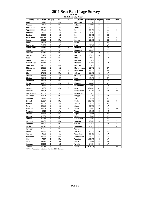**Chart 16 Site Selection by County**

| County           | Population Category |   | Area      | <b>Sites</b>   | County           | Population Category |   | Area      | <b>Sites</b>   |
|------------------|---------------------|---|-----------|----------------|------------------|---------------------|---|-----------|----------------|
| Adair            | 8,243               | E | SW        |                | Jefferson        | 16,181              | E | <b>SE</b> |                |
| <b>Adams</b>     | 4.482               | E | SW        |                | Johnson          | 111,006             | C | <b>SE</b> |                |
| Allamakee        | 14,675              | Ε | <b>NE</b> |                | Jones            | 20,221              | E | <b>SE</b> |                |
| Appanoose        | 13,721              | E | <b>SE</b> |                | Keokuk           | 11,400              | E | <b>SE</b> | 1              |
| Audubon          | 6,830               | Ε | SW        |                | <b>Kossuth</b>   | 17,163              | E | <b>NW</b> |                |
| Benton           | 25,308              | E | <b>NE</b> |                | Lee              | 38,052              | D | <b>SE</b> |                |
| Black Hawk       | 128,012             | B | <b>NE</b> |                | Linn             | 191,701             | B | <b>NE</b> | 9              |
| Boone            | 26,224              | D | <b>NW</b> |                | Louisa           | 12,183              | E | <b>SE</b> | 3              |
| Bremer           | 23,325              | B | <b>NE</b> |                | Lucas            | 9,422               | E | <b>SE</b> |                |
| <b>Buchanan</b>  | 21,093              | Ε | <b>NE</b> |                | Lyon             | 11,763              | E | <b>NW</b> |                |
| Buena Vista      | 20,411              | E | <b>NW</b> | 5              | Madison          | 14,019              | E | SW        |                |
| <b>Butler</b>    | 15,305              | Ε | <b>NE</b> | 5              | Mahaska          | 22,335              | E | <b>SE</b> |                |
| Calhoun          | 11,115              | E | <b>NW</b> |                | <b>Marion</b>    | 32,052              | D | <b>SE</b> |                |
| Carroll          | 21,421              | E | <b>NE</b> |                | <b>Marshall</b>  | 39,311              | D | <b>NE</b> |                |
| Cass             | 14,684              | E | SW        |                | <b>Mills</b>     | 14,547              | E | SW        |                |
| Cedar            | 18,187              | E | <b>SE</b> |                | <b>Mitchell</b>  | 10,874              | E | <b>NE</b> |                |
| Cerro Gordo      | 46,447              | D | <b>NE</b> |                | Monona           | 10,020              | E | <b>NW</b> |                |
| Cherokee         | 13,035              | Е | <b>NW</b> |                | Monroe           | 8,016               | E | <b>SE</b> |                |
| Chickasaw        | 13,095              | E | <b>NE</b> |                | Montgomery       | 11,771              | E | SW        |                |
| <b>Clarke</b>    | 9,133               | E | SW        | $\overline{c}$ | <b>Muscatine</b> | 41,722              | E | <b>SE</b> |                |
| Clay             | 17,372              | E | <b>NW</b> | $\overline{7}$ | O'Brien          | 15,102              | E | <b>NW</b> |                |
| Clayton          | 18,678              | E | <b>NE</b> |                | Osceola          | 7,003               | E | <b>NW</b> |                |
| Clinton          | 50,149              | D | <b>SE</b> |                | Page             | 16,976              | E | SW        |                |
| Crawford         | 16,942              | E | <b>NW</b> |                | Palo Alto        | 10,147              | E | <b>NW</b> |                |
| <b>Dallas</b>    | 40,750              | Α | SW        | $\overline{2}$ | <b>Plymouth</b>  | 24,849              | E | <b>NW</b> |                |
| Davis            | 8,541               | E | <b>SE</b> |                | Pocahontas       | 8,662               | E | <b>NW</b> |                |
| Decatur          | 8,689               | E | SW        | 6              | Polk             | 374,601             | A | SW        | 9              |
| De law ar e      | 18,404              | E | <b>NE</b> |                | Pottaw attami    | 87,704              | C | SW        | 12             |
| Des Moines       | 42,351              | D | <b>SE</b> |                | Poweshiek        | 18,815              | E | <b>SE</b> |                |
| <b>Dickinson</b> | 16,424              | E | <b>NW</b> |                | Ringgold         | 5,469               | E | SW        |                |
| Dubuque          | 89,143              | C | <b>NE</b> |                | Sac              | 11,529              | E | <b>NW</b> |                |
| Emmet            | 11,027              | E | <b>NW</b> |                | <b>Scott</b>     | 158,668             | B | <b>SE</b> | 8              |
| Fayette          | 22,008              | D | <b>NE</b> |                | Shelby           | 13,173              | E | SW        |                |
| Floyd            | 16,900              | E | <b>NE</b> |                | <b>Sioux</b>     | 31,589              | D | <b>NW</b> |                |
| Franklin         | 10,704              | E | <b>NE</b> | 6              | Story            | 79,981              | D | <b>NW</b> | 12             |
| Fremont          | 8,010               | Ε | SW        |                | Tama             | 18,103              | E | <b>NE</b> |                |
| Greene           | 10,366              | E | <b>NW</b> |                | Taylor           | 6,958               | E | SW        |                |
| Grundy           | 12,369              | E | <b>NE</b> |                | Union            | 12,309              | E | SW        |                |
| Guthrie          | 11,353              | Ē | <b>NW</b> |                | Van Buren        | 7,809               | Ē | <b>SE</b> |                |
| Ham ilton        | 16,438              | E | <b>NW</b> |                | Wapello          | 36,051              | D | <b>SE</b> | $\overline{7}$ |
| Hancock          | 12,100              | E | <b>NW</b> |                | Warren           | 40,671              | A | SW        | $\overline{2}$ |
| Hardin           | 18,812              | Ε | <b>NE</b> |                | Washington       | 20,670              | E | <b>SE</b> | $\overline{4}$ |
| Harrison         | 15,666              | E | SW        |                | Wayne            | 6,730               | E | <b>SE</b> |                |
| Henry            | 20,336              | E | <b>SE</b> |                | Webster          | 40,235              | D | <b>NW</b> |                |
| <b>Howard</b>    | 9,932               | E | <b>NE</b> |                | Winnebago        | 11,723              | E | <b>NW</b> |                |
| Hum boldt        | 10,381              | E | <b>NW</b> |                | Winneshiek       | 21,310              | E | <b>NE</b> |                |
| Ida              | 7,837               | E | <b>NW</b> |                | Woodbury         | 103,877             | C | <b>NW</b> |                |
| low a            | 15,671              | E | <b>SE</b> |                | Worth            | 7,909               | E | <b>NE</b> |                |
| Jackson          | 20,296              | E | <b>NE</b> |                | Wright           | 14,334              | E | <b>NW</b> |                |
| Jasper           | 37,213              | D | <b>SE</b> |                | <b>Totals</b>    | 2,926,324           |   |           | 100            |

**NOTE: Population data based on the 2000 Census**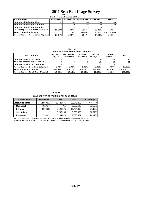#### **Chart 17 2011 Seat Belt Usage Survey**

**Site Selection by Area of State**

| <b>Area of State</b>                   | <b>Northeast</b> | Southeast       | <b>Northwest</b> | Ⅰ Southwest Ⅰ | <b>Totals</b> |
|----------------------------------------|------------------|-----------------|------------------|---------------|---------------|
| <b>Number of Selected Sites</b>        | 20 <sub>1</sub>  | 23 <sub>1</sub> | 241              | 33            | 1001          |
| <b>INumber of Possible Counties</b>    | 25 <sub>l</sub>  | 25              | 29               | 201           | 99            |
| <b>Number of Selected Counties</b>     |                  |                 |                  |               | 171           |
| <b>Percentage of Counties Selected</b> | $12.00\%$        | 16.00%          | $10.34\%$        | 30.00%        | 17.17%        |
| <b>Total Population in Area</b>        | 835.135          | 777.502         | 599.002          | 714.685       | 2.926.324.00  |
| Percentage of Total State Population   | 28.54%           | 26.57%          | 20.47%           | 24.42%        | 100.00%       |

**Chart 18**

| Site Selection by Population Category  |                     |                           |                            |                           |                   |              |  |  |  |  |
|----------------------------------------|---------------------|---------------------------|----------------------------|---------------------------|-------------------|--------------|--|--|--|--|
| Area of State                          | A - Over<br>200.000 | B - 150.000<br>to 200,000 | $C - 75.000$<br>to 150,000 | $D - 25,000$<br>to 75,000 | E-Under<br>25.000 | Total        |  |  |  |  |
| Number of Selected Sites               | 13 <sub>1</sub>     |                           |                            | 19 <sub>1</sub>           | 39                | 61           |  |  |  |  |
| <b>Number of Possible Counties</b>     |                     |                           |                            | 13.                       | 75                | 24           |  |  |  |  |
| Number of Selected Counties            |                     |                           |                            |                           |                   | 17           |  |  |  |  |
| <b>Percentage of Counties Selected</b> | $3.00\%$            | 2.00%                     | 1.00%                      | 2.00%                     | $9.00\%$          | 17.00%       |  |  |  |  |
| <b>Total Population in Area</b>        | 456.022             | 501.706                   | 391.730                    | 521.663                   | 1.055.203         | 2.926.324.00 |  |  |  |  |
| Percentage of Total State Population   | 15.58%              | 17.14%                    | 13.39%                     | 17.83%                    | 36.06%            | 100.00%      |  |  |  |  |

**Chart 19 2010 Statewide Vehicle Miles of Travel**

| <b>Vehicle Miles</b>   | <b>Municipal</b> | <b>Rural</b> | <b>Total</b> | Percentage |
|------------------------|------------------|--------------|--------------|------------|
| <b>Statewide Total</b> | 12,950,811       | 18,628,545   | 31,579,356   | 100.00%    |
| <b>Municipal</b>       | 6,820,148        | NA.          | 6,820,148    | 21.60%     |
| Primary                | 3,606,232        | 8,128,575    | 11,734,807   | 37.16%     |
| Secondary              | <b>NA</b>        | 5,295,950    | 5,295,950    | 16.77%     |
| <b>Interstate</b>      | 2,524,431        | 5,204,020    | 7,728,451    | 24.47%     |

**NOTE:** Vehicle miles of travel reported in 1,000,000 and provided by the lowa Dept. of Transportation's Office of Transportation Data & counts only cars, pickups, vans & SUVs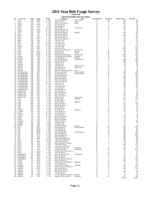**Chart 20**

|                               |                                |                        |                          |                                      |                                            | <b>April Seat Belt Survey Sites</b> |                     |                    |            |                |
|-------------------------------|--------------------------------|------------------------|--------------------------|--------------------------------------|--------------------------------------------|-------------------------------------|---------------------|--------------------|------------|----------------|
| Νo                            | County<br>Polk                 | Area                   | Day                      | Time                                 | Location<br>Aurora @ Beaver                | City                                | Population          | System             | Observed   | <b>Belted</b>  |
| -1<br>$\overline{\mathbf{c}}$ | Story                          | SW<br><b>NW</b>        | WED<br>WED               | 3 PM<br>12 PM                        | 6th @ Grand                                | Des Moines<br>Ames                  | $\overline{A}$<br>D | м<br>м             | 169<br>139 | 157<br>119     |
| з                             | Story                          | <b>NW</b>              | <b>FRI</b>               | 8<br>AM                              | Duff Exit @ Hwy 30                         | Ames                                | D                   | P                  | 198        | 173            |
| 4                             | Story                          | <b>NW</b>              | WED                      | $\mathbf{1}$<br>PM                   | E23 @ Hwy 69                               |                                     | D                   | S                  | 89         | 81             |
| 5                             | Story                          | <b>NW</b>              | <b>THU</b>               | 1 PM                                 | E63 @ Hwy 65                               |                                     | D                   | S                  | 20         | 18             |
| 6                             | Polk                           | SW                     | <b>FRI</b>               | 10 <sup>10</sup><br>AM               | 7th & Grand                                | Des Moines                          | A                   | M                  | 234        | 213            |
| -7                            | Story                          | <b>NW</b>              | <b>MON</b>               | 8<br>AM                              | Hwy 133 @ Hwy 30                           |                                     | D                   | P                  | 62         | 56             |
| 8<br>9                        | Dallas<br>Polk                 | SW<br>SW               | WED<br>FRI               | 10<br>AM<br>8<br>AM                  | Hwy 141 @ Hwy 210<br>Hwy 160 @ Hwy 69      |                                     | Α<br>А              | Ρ<br>Ρ             | 47<br>205  | 38<br>184      |
| 10                            | Story                          | <b>NW</b>              | <b>SAT</b>               | 10<br>AM                             | Hwy 210 @ Hwy 65                           | Ankeny                              | D                   | Р                  | 29         | 24             |
| 11                            | Story                          | <b>NW</b>              | FRI                      | PM<br>12                             | Hwy 210 @ Hwy 69                           |                                     | D                   | P                  | 164        | 155            |
| 12                            | Story                          | NW                     | WED                      | PM<br>1                              | Hwy 65 @ Hwy 30                            |                                     | D                   | Ρ                  | 93         | 83             |
| 13                            | Polk                           | SW                     | <b>SAT</b>               | 8<br>AM                              | Hwy 945 @ Hwy 931                          |                                     | Α                   | Ρ                  | 24         | 20             |
| 14                            | Story                          | <b>NW</b>              | THU                      | з<br><b>PM</b>                       | I-35 Exit #123                             |                                     | D                   |                    | 28         | 25             |
| 15                            | Polk                           | SW                     | WED                      | 3<br><b>PM</b>                       | I-35 Exit #92                              |                                     | Α                   |                    | 237        | 213            |
| 16                            | Polk                           | SW                     | FRI                      | 10<br>AM                             | I-35 Rest Area                             |                                     | Α                   | -1                 | 12         | 9              |
| 17                            | Story                          | <b>NW</b>              | FRI                      | 12<br>PM<br><b>PM</b>                | I-35 Rest Area<br>I-80 Exit #110           |                                     | D                   | -1<br>$\mathbf{I}$ | 65         | 64<br>409      |
| 18<br>19                      | Dallas<br>Polk                 | SW<br>SW               | WED<br>WED               | 5<br><b>PM</b><br>5                  | I-80 Exit # 143                            |                                     | Α<br>А              | -1                 | 431<br>264 | 230            |
| 20                            | Polk                           | SW                     | SAT                      | <b>PM</b><br>12                      | Indianola Ave @ SE 8th                     | Des Moines                          | Α                   | м                  | 101        | 83             |
| 21                            | Story                          | <b>NW</b>              | THU                      | 5<br><b>PM</b>                       | J Ave. @ 6th                               | Nevada                              | D                   | М                  | 121        | 109            |
| 22                            | Story                          | <b>NW</b>              | <b>MON</b>               | 10<br>AM                             | Main @ Clark                               | Ames                                | D                   | M                  | 38         | 30             |
| 23                            | Polk                           | SW                     | <b>MON</b>               | 12<br><b>PM</b>                      | Meredith @ Merle Hay                       | Des Moines                          | Α                   | M                  | 522        | 483            |
| 24                            | Clarke                         | SW                     | TUE                      | 4<br>PM                              | E Washington @ Main St                     | Osceola                             | Е                   | M                  | 105        | 93             |
| 25                            | Decat ur                       | SW                     | TUE                      | 7<br>AM                              | J 12 @ Hwy 69                              | Weldon                              | Е                   | Ρ                  | 52         | 48             |
| 26<br>27                      | Warren<br>Clarke               | SW<br>SW               | TUE<br>TUE               | 6<br><b>PM</b><br>9<br>AM            | Hwy 28 @ Hwy 92                            | M artensdale                        | А<br>Е              | Ρ<br>Р             | 109<br>199 | 102<br>169     |
| 28                            | Decat ur                       | SW                     | TUE                      | 11<br>AM                             | Hwy 34 @ Hwy 69<br>I-35 Exit #12           |                                     | Е                   | -1                 | 50         | 49             |
| 29                            | Decat ur                       | SW                     | FRI                      | 2<br>PM                              | I-35 Exit #22                              |                                     | Е                   | -1                 | 24         | 24             |
| 30                            | Decat ur                       | SW                     | TUE                      | 8<br>AM                              | J 20 @ R69                                 | Garden Grove                        | Е                   | s                  | 12         | 12             |
| 31                            | Decat ur                       | SW                     | FRI                      | <b>PM</b><br>4                       | J 66 @ Hwy 69                              | Davis City                          | Е                   | s                  | 16         | 13             |
| 32                            | Warren                         | SW                     | <b>FRI</b>               | 6<br><b>PM</b>                       | R 57 @ Hwy 92                              |                                     | А                   | S                  | 3          | $\overline{2}$ |
| 33                            | Decat ur                       | SW                     | TUE                      | <b>PM</b><br>2                       | West Jct. Hwy 69 @ Hwy 2                   | Leon                                | Е                   | P                  | 62         | 57             |
| 34                            | Pottawattamie                  | SW                     | <b>SAT</b>               | 8<br>AM                              | 9th Ave. @ S 16th                          | Council Bluffs                      | С                   | М                  | 213        | 194            |
| 35<br>36                      | Pottawattamie<br>Pottawattamie | SW<br><b>SW</b>        | <b>SAT</b><br><b>SAT</b> | 12<br>PM<br>9<br>AM                  | A Ave & 25th St                            | Council Bluffs                      | С<br>С              | М<br>P             | 371<br>86  | 336<br>83      |
| 37                            | Pottawattamie                  | <b>SW</b>              | SAT                      | 11<br>AM                             | Hwy 191 @ Hwy 83<br>Hwy 6 @ Hwy 191        |                                     | C                   | P                  | 138        | 126            |
| 38                            | Pottawattamie                  | SW                     | <b>SAT</b>               | 8<br>AM                              | Hwy 6 @ Hwy 59                             |                                     | $\mathbf C$         | Ρ                  | 128        | 121            |
| 39                            | Pottawattamie                  | SW                     | <b>SUN</b>               | 5<br><b>PM</b>                       | Hwy 83 @ Hwy 59                            |                                     | C                   | Ρ                  | 64         | 60             |
| 40                            | Pottawattamie                  | SW                     | <b>SAT</b>               | 10<br>AM                             | Hwy 92 @ Hwy 59                            |                                     | C                   | Р                  | 124        | 112            |
| 41                            | Pottawattamie                  | <b>SW</b>              | <b>SAT</b>               | 10<br>AM                             | I-29 Exit #47                              |                                     | $\mathbf C$         | $\blacksquare$     | 120        | 113            |
| 42                            | Pottawattamie                  | SW                     | SUN                      | PM<br>6                              | I-80 Exit #40                              |                                     | $\mathbf C$         | $\mathbf{I}$       | 148        | 145            |
| 43                            | Pottawattamie                  | SW                     | <b>SAT</b>               | 7<br>AM                              | I-80 Rest Area                             |                                     | C                   | -1                 | 128        | 121            |
| 44<br>45                      | Pottawattamie                  | SW<br><b>SW</b>        | <b>SUN</b>               | <b>PM</b><br>2<br><b>PM</b>          | L 55 @ Hwy 6                               |                                     | C<br>С              | s                  | 36         | 35             |
| 46                            | Pottawattamie<br>Buena Vista   | <b>NW</b>              | <b>SAT</b><br><b>SUN</b> | 12<br><b>PM</b><br>4                 | M 16 @ Hwy 92<br>C 49 @ Hwy 71             |                                     | Е                   | s<br>S             | 26<br>78   | 26<br>76       |
| 47                            | Buena Vista                    | <b>NW</b>              | <b>SAT</b>               | 4<br><b>PM</b>                       | Hwy 110 @ Hwy 7                            |                                     | Е                   | P                  | 89         | 85             |
| 48                            | Buena Vista                    | <b>NW</b>              | <b>SUN</b>               | 2<br><b>PM</b>                       | Hwy 7 @ Hwy 71                             |                                     | Е                   | P                  | 99         | 96             |
| 49                            | Buena Vista                    | <b>NW</b>              | <b>SAT</b>               | 2<br><b>PM</b>                       | Hwy 7 @ Hwy 71                             |                                     | Е                   | P                  | 142        | 139            |
| 50                            | Buena Vista                    | <b>NW</b>              | <b>SUN</b>               | 6<br>PM                              | Lake $@$ Third                             | Storm Lake                          | Е                   | M                  | 97         | 93             |
| 51                            | Clay                           | NW                     | FRI                      | 7<br>AM                              | 4th @ Grand                                | Spencer                             | Е                   | М                  | 260        | 246            |
| 52                            | Clay                           | <b>NW</b>              | FRI                      | 9<br>AM                              | B 53 @ Hwy 71                              |                                     | Е                   | s                  | 7          | 7<br>424       |
| 53<br>54                      | Clay                           | <b>NW</b><br><b>NW</b> | THU<br>THU               | 3<br><b>PM</b><br>PM<br>5            | Grand @ 18th                               | Spencer                             | Е<br>Е              | M<br>Р             | 437<br>28  | 26             |
| 55                            | Clay<br>Clay                   | <b>NW</b>              | <b>SUN</b>               | 10<br>AM                             | Hwy 10 @ Hwy 71<br>Hwy 18 @ Hwy 71         |                                     | Е                   | Ρ                  | 119        | 115            |
| 56                            | Clay                           | <b>NW</b>              | THU                      | <b>PM</b><br>$\mathbf{1}$            | B40 @ Hwy 71                               |                                     | Е                   | P                  | 45         | 43             |
| 57                            | Clay                           | <b>NW</b>              | <b>FRI</b>               | 11<br>AM                             | N 14 @ Hwy 18                              |                                     | Е                   | S                  | 35         | 34             |
| 58                            | Franklin                       | <b>NE</b>              | THU                      | <b>PM</b><br>3                       | 1st @ 1st Ave                              | Hampton                             | Е                   | M                  | 132        | 95             |
| 59                            | Franklin                       | NE                     | TUE                      | <b>PM</b><br>3                       | C 25 @ Hwy 65                              |                                     | Ε                   | S                  | 31         | 24             |
| 60                            | <b>Butler</b>                  | NE                     | TUE                      | 12<br>PM                             | C 55 @ Hwy 14                              |                                     | Е                   | S                  | 3          | 3              |
| 61                            | Franklin                       | NE                     | TUE                      | 10<br>AM                             | S14 & Hwy 107                              |                                     | Ε                   | P                  | 10         | 10             |
| 62<br>63                      | <b>Butler</b><br><b>Butler</b> | <b>NE</b><br><b>NE</b> | TUE<br>THU               | 8<br>AM<br>PM<br>5                   | Hwy 14 @ Hwy 20<br>Hwy 14 @ Hwy 3          |                                     | Ε<br>Е              | P<br>P             | 58<br>29   | 45<br>24       |
| 64                            | Butler                         | NE                     | TUE                      | PM<br>4                              | Hwy 188 @ Hwy 3                            |                                     | Е                   | Ρ                  | 87         | 71             |
| 65                            | Franklin                       | NE                     | THU                      | <b>PM</b><br>$\mathbf{1}$            | Hwy 65 @ Hwy 3                             |                                     | Е                   | Р                  | 211        | 141            |
| 66                            | Franklin                       | <b>NE</b>              | TUE                      | 5<br>PM                              | I-35 Exit #165                             |                                     | Е                   |                    | 27         | 25             |
|                               | 67 Franklin                    | <b>NE</b>              | TUE                      | PM<br>6                              | I-35 Exit #170                             |                                     | Е                   | -                  | 8          | $\overline{7}$ |
|                               | 68 Butler                      | <b>NE</b>              | TUE                      | 1 PM                                 | Main @ Railroad                            | Allison                             | Е                   | M                  | 133        | 95             |
|                               | 69 Linn                        | NE                     | <b>SAT</b>               | 7 AM                                 | 8th Ave @ 2nd                              | Cedar Rapids                        | в                   | M                  | 243        | 226            |
| 70<br>71                      | Linn<br>Linn                   | <b>NE</b><br><b>NE</b> | <b>MON</b><br><b>SUN</b> | 1 PM<br>PM<br>6                      | E 34 @ Hwy 13<br>E 70 @ Hwy 151            |                                     | в<br>в              | S<br>s             | 135<br>85  | 131<br>82      |
| 72                            | Linn                           | NE                     | <b>MON</b>               | PM<br>з                              | First Ave @ 29th                           | Cedar Rapids                        | в                   | М                  | 297        | 282            |
| 73                            | Linn                           | NE                     | <b>SUN</b>               | 4<br><b>PM</b>                       | Hwy 1 @ Hwy 30                             |                                     | в                   | P                  | 144        | 140            |
| 74                            | Linn                           | NE.                    | <b>SAT</b>               | 9<br>AM                              | Hwy 13 @ Hwy 151                           |                                     | в                   | P                  | 313        | 294            |
| 75                            | Linn                           | <b>NE</b>              | <b>SUN</b>               | $\overline{2}$<br><b>PM</b>          | Hwy 30 @ Hwy 1                             |                                     | B                   | P                  | 184        | 175            |
| 76                            | Linn                           | NE                     | <b>MON</b>               | <b>PM</b><br>5                       | I-380 Mile Marker 13                       |                                     | в                   | $\mathbf{I}$       | 158        | 151            |
| 77                            | Linn                           | NE                     | <b>SAT</b>               | 11 AM                                | I-380 Mile Marker 25                       |                                     | в                   | $\overline{1}$     | 130        | 126            |
| 78                            | Scott                          | <b>SE</b>              | WED                      | 11 AM                                | F 55 Exit @ Hwy 61<br>Hwy 61 @ Hwy 22 Ramp |                                     | в<br>в              | Р<br>P             | 50<br>67   | 49             |
| 79<br>80                      | Scott<br>Scott                 | <b>SE</b><br><b>SE</b> | <b>FRI</b><br>FRI        | 1 PM<br>3 PM                         | I-280 Hwy 61 Exit                          |                                     | в                   | -1                 | 249        | 65<br>245      |
| 81                            | Scott                          | SE                     | <b>SUN</b>               | 8<br>AM                              | I-80 Exit #284 (Y40)                       |                                     | в                   | -1                 | 54         | 53             |
| 82                            | Scott                          | <b>SE</b>              | <b>FRI</b>               | 5<br>PM                              | Kimberly @ Harrison                        | Davenport                           | в                   | М                  | 459        | 448            |
| 83                            | Scott                          | <b>SE</b>              | <b>SUN</b>               | 12<br>PM                             | Locust @ Brady                             | Davenport                           | в                   | M                  | 417        | 402            |
| 84                            | Scott                          | <b>SE</b>              | WED                      | 7<br>AM                              | Long Grove Exit @ Hwy 61                   |                                     | в                   | P                  | 45         | 45             |
| 85                            | Scott                          | SE                     | WED                      | 9<br>AM                              | Y 48 @ Hwy 61                              |                                     | B                   | S                  | 70         | 67             |
| 86                            | Washington                     | SE                     | WED                      | $\mathbf{1}$<br><b>PM</b>            | East 7th @ North 4th                       | Washington                          | Е                   | м                  | 93         | 82             |
| 87                            | Washington<br>Washington       | <b>SE</b><br><b>SE</b> | WED<br><b>SUN</b>        | 3 PM<br>11 AM                        | G6W @ Hwy 92                               |                                     | Ε<br>Ε              | s<br>P             | 21<br>131  | 21<br>126      |
| 88<br>89                      | Washington                     | SE                     | <b>SUN</b>               | $\overline{\mathbf{c}}$<br><b>PM</b> | Hwy 1 @ Hwy 92<br>Hwy 218 Ramp @ Hwy 92    |                                     | Ε                   | P                  | 186        | 182            |
| 90                            | Louisa                         | <b>SE</b>              | WED                      | 5<br>PM                              | Hwy 92 @ Hwy 61                            |                                     | Ε                   | P                  | 138        | 128            |
| 91                            | Louisa                         | <b>SE</b>              | <b>SUN</b>               | <b>PM</b><br>6                       | South 4th @ Washington                     | Wapello                             | Е                   | М                  | 76         | 57             |
| 92                            | Louisa                         | <b>SE</b>              | <b>SUN</b>               | 4<br><b>PM</b>                       | X 43 @ Hwy 92                              |                                     | Ε                   | s                  | 24         | 24             |
| 93                            | Wapello                        | <b>SE</b>              | FRI                      | 3<br><b>PM</b>                       | Church @ Richmond                          | Ottumwa                             | D                   | M                  | 373        | 347            |
| 94                            | Wapello                        | <b>SE</b>              | <b>MON</b>               | PM<br>$\mathbf{1}$                   | East Jct Hwy 34 & Hwy 63                   |                                     | D                   | Ρ                  | 213        | 203            |
| 95                            | Wapello                        | <b>SE</b>              | <b>MON</b>               | 5 PM                                 | Hwy 137@ Hwy 63                            |                                     | D                   | Р                  | 254        | 240            |
| 96<br>97                      | Keokuk<br>Wapello              | <b>SE</b><br><b>SE</b> | TUE<br>TUE               | 5 PM<br>з<br>PM                      | Hwy 149 @ Hwy 23                           |                                     | D<br>D              | P<br>P             | 74<br>120  | 74<br>119      |
| 98                            | Wapello                        | SE                     | FRI                      | 5<br>PM                              | Hwy 16 @ Hwy 34<br>T 61 @ Hwy 34           |                                     | D                   | S                  | 97         | 92             |
| 99                            | Wapello                        | <b>SE</b>              | <b>MON</b>               | 3<br>PM                              | V 37 (College St) @ Hwy 34 Agency          |                                     | D                   | S                  | 70         | 53             |
|                               | 100 Wapello                    | <b>SE</b>              | TUE                      | 1 PM                                 | Wapello St @ Albia Rd                      | Ottumwa                             | Е                   | M                  | 170        | 160            |
|                               |                                |                        |                          |                                      |                                            |                                     |                     |                    | 12,811     | 11,830         |